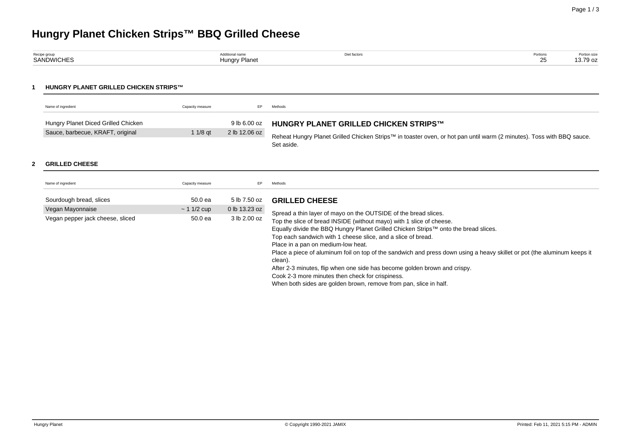# **Hungry Planet Chicken Strips™ BBQ Grilled Cheese**

| Recipe group      | Additional name | Diet factors | Portions | Portion size<br>. |
|-------------------|-----------------|--------------|----------|-------------------|
| <b>SANDWICHES</b> | Hungry Planet   |              | $\sim$   | 13.79 oz          |
|                   |                 |              |          |                   |

#### **1 HUNGRY PLANET GRILLED CHICKEN STRIPS™**

| Name of ingredient                  | Capacity measure | EP.           | Methods                                                                                                               |
|-------------------------------------|------------------|---------------|-----------------------------------------------------------------------------------------------------------------------|
| Hungry Planet Diced Grilled Chicken |                  | 9 lb 6.00 oz  | <b>HUNGRY PLANET GRILLED CHICKEN STRIPS™</b>                                                                          |
| Sauce, barbecue, KRAFT, original    | $11/8$ at        | 2 lb 12.06 oz | Reheat Hungry Planet Grilled Chicken Strips™ in toaster oven, or hot pan until warm (2 minutes). Toss with BBQ sauce. |
|                                     |                  |               | Set aside.                                                                                                            |

#### **2 GRILLED CHEESE**

| Name of ingredient               | Capacity measure | EP.           | Methods                                                                                                                                                                                                                                                                                                                                                                                                  |
|----------------------------------|------------------|---------------|----------------------------------------------------------------------------------------------------------------------------------------------------------------------------------------------------------------------------------------------------------------------------------------------------------------------------------------------------------------------------------------------------------|
| Sourdough bread, slices          | 50.0 ea          | 5 lb 7.50 oz  | <b>GRILLED CHEESE</b>                                                                                                                                                                                                                                                                                                                                                                                    |
| Vegan Mayonnaise                 | $~11/2$ cup      | 0 lb 13.23 oz | Spread a thin layer of mayo on the OUTSIDE of the bread slices.                                                                                                                                                                                                                                                                                                                                          |
| Vegan pepper jack cheese, sliced | 50.0 ea          | 3 lb 2.00 oz  | Top the slice of bread INSIDE (without mayo) with 1 slice of cheese.<br>Equally divide the BBQ Hungry Planet Grilled Chicken Strips™ onto the bread slices.<br>Top each sandwich with 1 cheese slice, and a slice of bread.<br>Place in a pan on medium-low heat.<br>Place a piece of aluminum foil on top of the sandwich and press down using a heavy skillet or pot (the aluminum keeps it<br>clean). |
|                                  |                  |               | After 2-3 minutes, flip when one side has become golden brown and crispy.<br>Cook 2-3 more minutes then check for crispiness.<br>When both sides are golden brown, remove from pan, slice in half.                                                                                                                                                                                                       |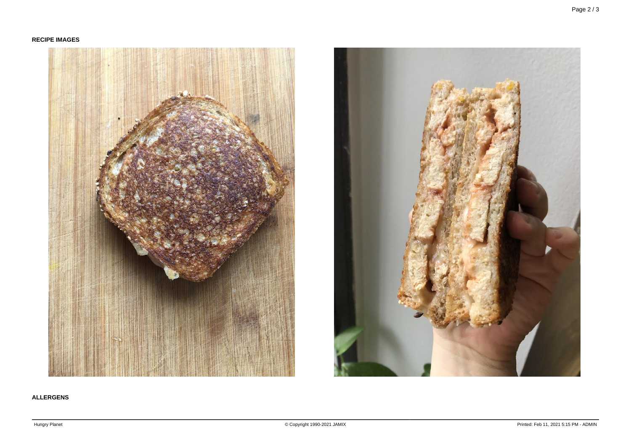## **RECIPE IMAGES**





## **ALLERGENS**